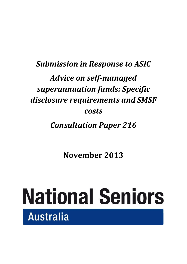# *Submission in Response to ASIC Advice on self-managed superannuation funds: Specific disclosure requirements and SMSF costs*

*Consultation Paper 216*

**November 2013**

# **National Seniors** Australia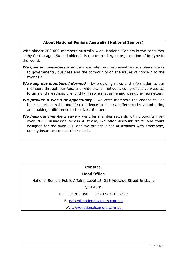#### **About National Seniors Australia (National Seniors)**

With almost 200 000 members Australia-wide, National Seniors is the consumer lobby for the aged 50 and older. It is the fourth largest organisation of its type in the world.

- *We give our members a voice* we listen and represent our members' views to governments, business and the community on the issues of concern to the over 50s.
- **We keep our members informed** by providing news and information to our members through our Australia-wide branch network, comprehensive website, forums and meetings, bi-monthly lifestyle magazine and weekly e-newsletter.
- *We provide a world of opportunity* we offer members the chance to use their expertise, skills and life experience to make a difference by volunteering and making a difference to the lives of others.
- *We help our members save* we offer member rewards with discounts from over 7000 businesses across Australia, we offer discount travel and tours designed for the over 50s, and we provide older Australians with affordable, quality insurance to suit their needs.

#### **Contact**:

#### **Head Office**

National Seniors Public Affairs, Level 18, 215 Adelaide Street Brisbane

QLD 4001

P: 1300 765 050 F: (07) 3211 9339

E: [policy@nationalseniors.com.au](mailto:policy@nationalseniors.com.au)

W: [www.nationalseniors.com.au](http://www.nationalseniors.com.au/)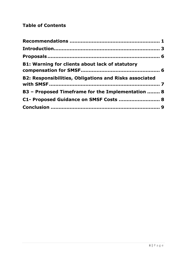# **Table of Contents**

| <b>B1: Warning for clients about lack of statutory</b>        |  |
|---------------------------------------------------------------|--|
| <b>B2: Responsibilities, Obligations and Risks associated</b> |  |
| B3 - Proposed Timeframe for the Implementation  8             |  |
| C1- Proposed Guidance on SMSF Costs  8                        |  |
|                                                               |  |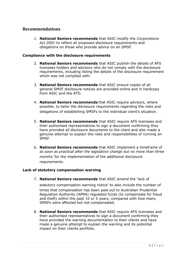#### <span id="page-3-0"></span>**Recommendations**

1. **National Seniors recommends** that ASIC modify the *Corporations Act 2001* to reflect all proposed disclosure requirements and obligations on those who provide advice on an SMSF.

#### **Compliance with the disclosure requirements**

- 2. **National Seniors recommends** that ASIC publish the details of AFS licensees holders and advisors who do not comply with the disclosure requirements, including listing the details of the disclosure requirement which was not complied with.
- 3. **National Seniors recommends** that ASIC ensure copies of all general SMSF disclosure notices are provided online and in hardcopy from ASIC and the ATO.
- 4. **National Seniors recommends** that ASIC require advisors, where possible, to tailor the disclosure requirements regarding the risks and obligations of establishing SMSFs to the individual client's situation.
- 5. **National Seniors recommends** that ASIC require AFS licensees and their authorised representatives to sign a document confirming they have provided all disclosure documents to the client and also made a genuine attempt to explain the risks and responsibilities of running an SMSF.
- 6. **National Seniors recommends** that ASIC implement a timeframe of *as soon as practical after the legislative change but no more than three months*' for the implementation of the additional disclosure requirements.

#### **Lack of statutory compensation warning**

7. **National Seniors recommends** that ASIC amend the "lack of

statutory compensation warning notice" to also include the number of times that compensation has been paid out to Australian Prudential Regulation Authority (APRA) regulated funds (to compensate for fraud and theft) within the past 10 or 5 years, compared with how many SMSFs were affected but not compensated.

8. **National Seniors recommends** that ASIC require AFS licensees and their authorised representatives to sign a document confirming they have provided the warning documentation to their clients and have made a genuine attempt to explain the warning and its potential impact on their clients portfolio.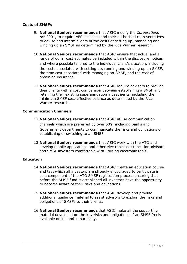#### **Costs of SMSFs**

- 9. **National Seniors recommends** that ASIC modify the *Corporations Act* 2001, to require AFS licensees and their authorised representatives to advise and inform clients of the costs of setting up, managing and winding up an SMSF as determined by the Rice Warner research.
- 10.**National Seniors recommends** that ASIC ensure that actual and a range of dollar cost estimates be included within the disclosure notices and where possible tailored to the individual client's situation, including the costs associated with setting up, running and winding up an SMSF, the time cost associated with managing an SMSF, and the cost of obtaining insurance.
- 11.**National Seniors recommends** that ASIC require advisors to provide their clients with a cost comparison between establishing a SMSF and retaining their existing superannuation investments, including the minimum SMSF cost-effective balance as determined by the Rice Warner research.

#### **Communication Channels**

- 12.**National Seniors recommends** that ASIC utilise communication channels which are preferred by over 50's, including banks and Government departments to communicate the risks and obligations of establishing or switching to an SMSF.
- 13.**National Seniors recommends** that ASIC work with the ATO and develop mobile applications and other electronic assistance for advisors and SMSF investors comfortable with utilising electronic tools.

#### **Education**

- 14.**National Seniors recommends** that ASIC create an education course and test which all investors are strongly encouraged to participate in as a component of the ATO SMSF registration process ensuring that before the SMSF fund is established all investors have the opportunity to become aware of their risks and obligations.
- 15.**National Seniors recommends** that ASIC develop and provide additional guidance material to assist advisors to explain the risks and obligations of SMSFs to their clients.
- 16.**National Seniors recommends** that ASIC make all the supporting material developed on the key risks and obligations of an SMSF freely available online and in hardcopy.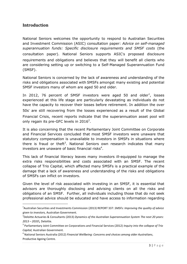# <span id="page-5-0"></span>**Introduction**

1

National Seniors welcomes the opportunity to respond to Australian Securities and Investment Commission (ASIC) consultation paper: *Advice on self-managed superannuation funds: Specific disclosure requirements and SMSF costs* (the consultation paper). National Seniors supports ASIC's proposed disclosure requirements and obligations and believes that they will benefit all clients who are considering setting up or switching to a Self-Managed Superannuation Fund (SMSF).

National Seniors is concerned by the lack of awareness and understanding of the risks and obligations associated with SMSFs amongst many existing and potential SMSF investors many of whom are aged 50 and older.

In 2012, 76 percent of SMSF investors were aged 50 and older<sup>1</sup>, losses experienced at this life stage are particularly devastating as individuals do not have the capacity to recover their losses before retirement. In addition the over 50s' are still recovering from the losses experienced as a result of the Global Financial Crisis, recent reports indicate that the superannuation asset pool will only regain its pre-GFC levels in  $2016^2$ .

It is also concerning that the recent Parliamentary Joint Committee on Corporate and Financial Services concluded that most SMSF investors were unaware that statutory compensation is unavailable to investors in SMSFs in situations where there is fraud or theft<sup>3</sup>. National Seniors own research indicates that many investors are unaware of basic financial risks<sup>4</sup>.

This lack of financial literacy leaves many investors ill-equipped to manage the extra risks responsibilities and costs associated with an SMSF. The recent collapse of Trio Capital, which affected many SMSFs is a practical example of the damage that a lack of awareness and understanding of the risks and obligations of SMSFs can inflict on investors.

Given the level of risk associated with investing in an SMSF, it is essential that advisors are thoroughly disclosing and advising clients on all the risks and obligations of an SMSF. Further, all individuals including those that do not seek professional advice should be educated and have access to information regarding

<sup>1</sup> Australian Securities and Investments Commission (2013) REPORT 337: *SMSFs: Improving the quality of advice given to investors,* Australian Government.

<sup>2</sup> Deloitte Actuaries & Consultants (2013) *Dynamics of the Australian Superannuation System The next 20 years: 2013 – 2033\,* Deloitte.

<sup>3</sup> Parliamentary Joint Committee on Corporations and Financial Services (2012) *Inquiry into the collapse of Trio Capital,* Australian Government.

<sup>4</sup> National Seniors Australia (2012) *Financial Wellbeing: Concerns and choices among older Australians*, Productive Ageing Centre.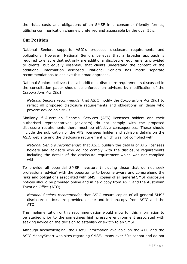the risks, costs and obligations of an SMSF in a consumer friendly format, utilising communication channels preferred and assessable by the over 50's.

### **Our Position**

National Seniors supports ASIC's proposed disclosure requirements and obligations. However, National Seniors believes that a broader approach is required to ensure that not only are additional disclosure requirements provided to clients, but equally essential, that clients understand the content of the additional information disclosed. National Seniors has made separate recommendations to achieve this broad approach.

National Seniors believes that all additional disclosure requirements discussed in the consultation paper should be enforced on advisors by modification of the *Corporations Act 2001*.

*National Seniors recommends:* that ASIC modify the *Corporations Act 2001* to reflect all proposed disclosure requirements and obligations on those who provide advice on SMSFs.

Similarly if Australian Financial Services (AFS) licensees holders and their authorised representatives (advisors) do not comply with the proposed disclosure requirements there must be effective consequences. These should include the publication of the AFS licensees holder and advisors details on the ASIC web site and the disclosure requirement which was not complied with.

*National Seniors recommends*: that ASIC publish the details of AFS licensees holders and advisors who do not comply with the disclosure requirements including the details of the disclosure requirement which was not complied with.

To provide all potential SMSF investors (including those that do not seek professional advice) with the opportunity to become aware and comprehend the risks and obligations associated with SMSF, copies of all general SMSF disclosure notices should be provided online and in hard copy from ASIC and the Australian Taxation Office (ATO).

*National Seniors recommends:* that ASIC ensure copies of all general SMSF disclosure notices are provided online and in hardcopy from ASIC and the ATO.

The implementation of this recommendation would allow for this information to be studied prior to the sometimes high pressure environment associated with seeking advice on the decision to establish or switch to an SMSF.

Although acknowledging, the useful information available on the ATO and the ASIC MoneySmart web sites regarding SMSF, many over 50's cannot and do not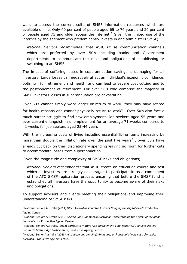want to access the current suite of SMSF information resources which are available online. Only 40 per cent of people aged 65 to 74 years and 20 per cent of people aged 75 and older access the internet.<sup>5</sup> Given the limited use of the internet by the segment who predominantly invests in and administers SMSF;

*National Seniors recommends:* that ASIC utilise communication channels which are preferred by over 50's including banks and Government departments to communicate the risks and obligations of establishing or switching to an SMSF.

The impact of suffering losses in superannuation savings is damaging for all investors. Large losses can negatively affect an individual's economic confidence, optimism for retirement and health, and can lead to severe cost cutting and to the postponement of retirement. For over 50's who comprise the majority of SMSF investors losses in superannuation are devastating.

Over 50's cannot simply work longer or return to work; they may have retired for health reasons and cannot physically return to work $<sup>6</sup>$ . Over 50's also face a</sup> much harder struggle to find new employment. Job seekers aged 55 years and over currently languish in unemployment for an average 71 weeks compared to 41 weeks for job seekers aged 25-44 years<sup>7</sup>.

With the increasing costs of living including essential living items increasing by more than double the inflation rate over the past five years<sup>8</sup>, over 50's have already cut back on their discretionary spending leaving no room for further cuts to accommodate losses from superannuation.

Given the magnitude and complexity of SMSF risks and obligations;

1

*National Seniors recommends:* that ASIC create an education course and test which all investors are strongly encouraged to participate in as a component of the ATO SMSF registration process ensuring that before the SMSF fund is established all investors have the opportunity to become aware of their risks and obligations.

To support advisors and clients meeting their obligations and improving their understanding of SMSF risks;

<sup>5</sup> National Seniors Australia (2011) *Older Australians and the Internet Bridging the Digital Divide* Productive Ageing Centre.

<sup>6</sup> National Seniors Australia (2012) *Ageing Baby Boomers in Australia: Understanding the effects of the global financial crisis* Productive Ageing Centre.

<sup>7</sup> National Seniors Australia, (2012) *Barriers to Mature Age Employment: Final Report Of The Consultative Forum On Mature Age Participation*, Productive Ageing Centre.

<sup>8</sup> National Senior Australia ( 2013) *A squeeze on spending? An update on household living costs for senior Australia.* Productive Ageing Centre.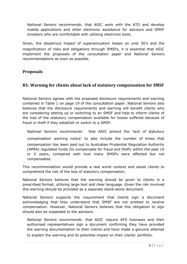*National Seniors recommends*: that ASIC work with the ATO and develop mobile applications and other electronic assistance for advisors and SMSF investors who are comfortable with utilising electronic tools.

Given, the disastrous impact of superannuation losses on over 50's and the magnification of risks and obligations through SMSFs, it is essential that ASIC implement the proposals of the consultation paper and National Seniors recommendations as soon as possible.

# <span id="page-8-1"></span><span id="page-8-0"></span>**Proposals**

# **B1: Warning for clients about lack of statutory compensation for SMSF**

National Seniors agrees with the proposed disclosure requirements and warning contained in Table 1 on page 19 of the consultation paper. National Seniors also believes that the disclosure requirements and warning will benefit clients who are considering setting up or switching to an SMSF and help to inform clients of the loss of the statutory compensation available for losses suffered because of fraud or theft if they establish or switch to a SMSF.

*National Seniors recommends*: that ASIC amend the "lack of statutory compensation warning notice" to also include the number of times that compensation has been paid out to Australian Prudential Regulation Authority (APRA) regulated funds (to compensate for fraud and theft) within the past 10 or 5 years, compared with how many SMSFs were affected but not compensated.

This recommendation would provide a real world context and assist clients to comprehend the risk of the loss of statutory compensation.

National Seniors believes that the warning should be given to clients in a prescribed format, utilising large text and clear language. Given the risk involved this warning should be provided as a separate stand-alone document.

National Seniors supports the requirement that clients sign a document acknowledging that they understand that SMSF are not entitled to receive compensation. However, National Seniors believes that this obligation to sign should also be expanded to the advisors.

*National Seniors recommends*: that ASIC require AFS licensees and their authorised representatives sign a document confirming they have provided the warning documentation to their clients and have made a genuine attempt to explain the warning and its potential impact on their clients' portfolio.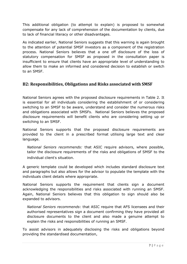This additional obligation (to attempt to explain) is proposed to somewhat compensate for any lack of comprehension of the documentation by clients, due to lack of financial literacy or other disadvantages.

As indicated earlier, National Seniors suggests that this warning is again brought to the attention of potential SMSF investors as a component of the registration process. National Seniors believes that a one off disclosure of the loss of statutory compensation for SMSF as proposed in the consultation paper is insufficient to ensure that clients have an appropriate level of understanding to allow them to make an informed and considered decision to establish or switch to an SMSF.

# <span id="page-9-0"></span>**B2: Responsibilities, Obligations and Risks associated with SMSF**

National Seniors agrees with the proposed disclosure requirements in Table 2. It is essential for all individuals considering the establishment of or considering switching to an SMSF to be aware, understand and consider the numerous risks and obligations associated with SMSFs. National Seniors believes the proposed disclosure requirements will benefit clients who are considering setting up or switching to an SMSF.

National Seniors supports that the proposed disclosure requirements are provided to the client in a prescribed format utilising large text and clear language.

*National Seniors recommends:* that ASIC require advisors, where possible, tailor the disclosure requirements of the risks and obligations of SMSF to the individual client's situation.

A generic template could be developed which includes standard disclosure text and paragraphs but also allows for the advisor to populate the template with the individuals client details where appropriate.

National Seniors supports the requirement that clients sign a document acknowledging the responsibilities and risks associated with running an SMSF. Again, National Seniors believes that this obligation to sign should also be expanded to advisors.

*National Seniors recommends*: that ASIC require that AFS licensees and their authorised representatives sign a document confirming they have provided all disclosure documents to the client and also made a genuine attempt to explain the risks and responsibilities of running an SMSF.

To assist advisors in adequately disclosing the risks and obligations beyond providing the standardised documentation,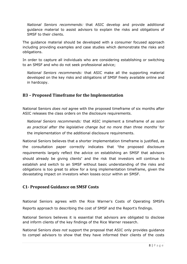*National Seniors recommends:* that ASIC develop and provide additional guidance material to assist advisors to explain the risks and obligations of SMSF to their clients.

The guidance material should be developed with a consumer focused approach including providing examples and case studies which demonstrate the risks and obligations.

In order to capture all individuals who are considering establishing or switching to an SMSF and who do not seek professional advice;

*National Seniors recommends:* that ASIC make all the supporting material developed on the key risks and obligations of SMSF freely available online and in hardcopy.

# <span id="page-10-0"></span>**B3 – Proposed Timeframe for the Implementation**

National Seniors *does not* agree with the proposed timeframe of six months after ASIC releases the class orders on the disclosure requirements.

*National Seniors recommends:* that ASIC implement a timeframe of *as soon as practical after the legislative change but no more than three months*' for the implementation of the additional disclosure requirements.

National Seniors believes that a shorter implementation timeframe is justified, as the consultation paper correctly indicates that "the proposed disclosure requirements largely reflect the advice on establishing an SMSF that advisors should already be giving clients" and the risk that investors will continue to establish and switch to an SMSF without basic understanding of the risks and obligations is too great to allow for a long implementation timeframe, given the devastating impact on investors when losses occur within an SMSF.

# <span id="page-10-1"></span>**C1- Proposed Guidance on SMSF Costs**

National Seniors agrees with the Rice Warner's Costs of Operating SMSFs Reports approach to describing the cost of SMSF and the Report's findings.

National Seniors believes it is essential that advisors are obligated to disclose and inform clients of the key findings of the Rice Warner research.

National Seniors *does not* support the proposal that ASIC only provides guidance to compel advisors to show that they have informed their clients of the costs